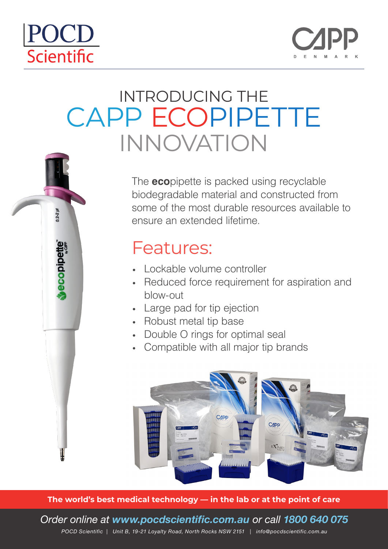# POCD Scientific

 $0.2 - 2$   $\mu$ 

ecopipette



# INTRODUCING THE CAPP ECOPIPETTE INNOVATION



### Features:

- Lockable volume controller
- Reduced force requirement for aspiration and blow-out
- Large pad for tip ejection
- Robust metal tip base
- Double O rings for optimal seal
- Compatible with all major tip brands



**The world's best medical technology — in the lab or at the point of care**

*Order online at www.pocdscientific.com.au or call 1800 640 075 POCD Scientific | Unit B, 19-21 Loyalty Road, North Rocks NSW 2151 | info@pocdscientific.com.au*